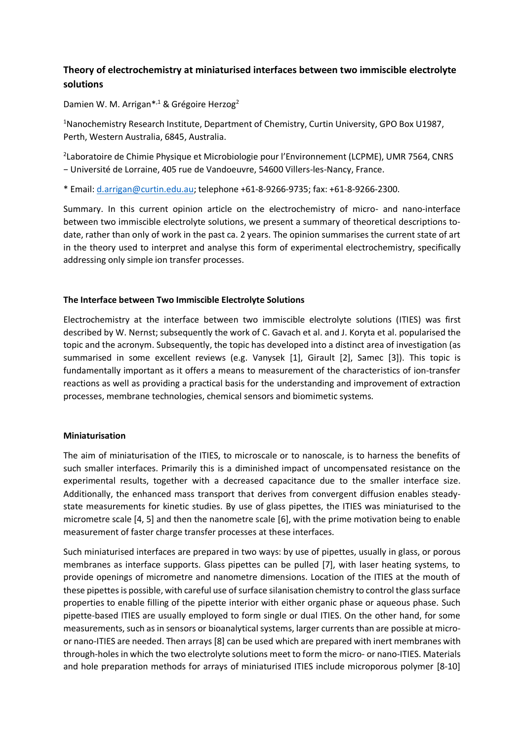# **Theory of electrochemistry at miniaturised interfaces between two immiscible electrolyte solutions**

Damien W. M. Arrigan<sup>\*,1</sup> & Grégoire Herzog<sup>2</sup>

<sup>1</sup>Nanochemistry Research Institute, Department of Chemistry, Curtin University, GPO Box U1987, Perth, Western Australia, 6845, Australia.

<sup>2</sup>Laboratoire de Chimie Physique et Microbiologie pour l'Environnement (LCPME), UMR 7564, CNRS − Université de Lorraine, 405 rue de Vandoeuvre, 54600 Villers-les-Nancy, France.

\* Email: [d.arrigan@curtin.edu.au;](mailto:d.arrigan@curtin.edu.au) telephone +61-8-9266-9735; fax: +61-8-9266-2300.

Summary. In this current opinion article on the electrochemistry of micro- and nano-interface between two immiscible electrolyte solutions, we present a summary of theoretical descriptions todate, rather than only of work in the past ca. 2 years. The opinion summarises the current state of art in the theory used to interpret and analyse this form of experimental electrochemistry, specifically addressing only simple ion transfer processes.

# **The Interface between Two Immiscible Electrolyte Solutions**

Electrochemistry at the interface between two immiscible electrolyte solutions (ITIES) was first described by W. Nernst; subsequently the work of C. Gavach et al. and J. Koryta et al. popularised the topic and the acronym. Subsequently, the topic has developed into a distinct area of investigation (as summarised in some excellent reviews (e.g. Vanysek [1], Girault [2], Samec [3]). This topic is fundamentally important as it offers a means to measurement of the characteristics of ion-transfer reactions as well as providing a practical basis for the understanding and improvement of extraction processes, membrane technologies, chemical sensors and biomimetic systems.

# **Miniaturisation**

The aim of miniaturisation of the ITIES, to microscale or to nanoscale, is to harness the benefits of such smaller interfaces. Primarily this is a diminished impact of uncompensated resistance on the experimental results, together with a decreased capacitance due to the smaller interface size. Additionally, the enhanced mass transport that derives from convergent diffusion enables steadystate measurements for kinetic studies. By use of glass pipettes, the ITIES was miniaturised to the micrometre scale [4, 5] and then the nanometre scale [6], with the prime motivation being to enable measurement of faster charge transfer processes at these interfaces.

Such miniaturised interfaces are prepared in two ways: by use of pipettes, usually in glass, or porous membranes as interface supports. Glass pipettes can be pulled [7], with laser heating systems, to provide openings of micrometre and nanometre dimensions. Location of the ITIES at the mouth of these pipettes is possible, with careful use of surface silanisation chemistry to control the glass surface properties to enable filling of the pipette interior with either organic phase or aqueous phase. Such pipette-based ITIES are usually employed to form single or dual ITIES. On the other hand, for some measurements, such as in sensors or bioanalytical systems, larger currents than are possible at microor nano-ITIES are needed. Then arrays [8] can be used which are prepared with inert membranes with through-holes in which the two electrolyte solutions meet to form the micro- or nano-ITIES. Materials and hole preparation methods for arrays of miniaturised ITIES include microporous polymer [8-10]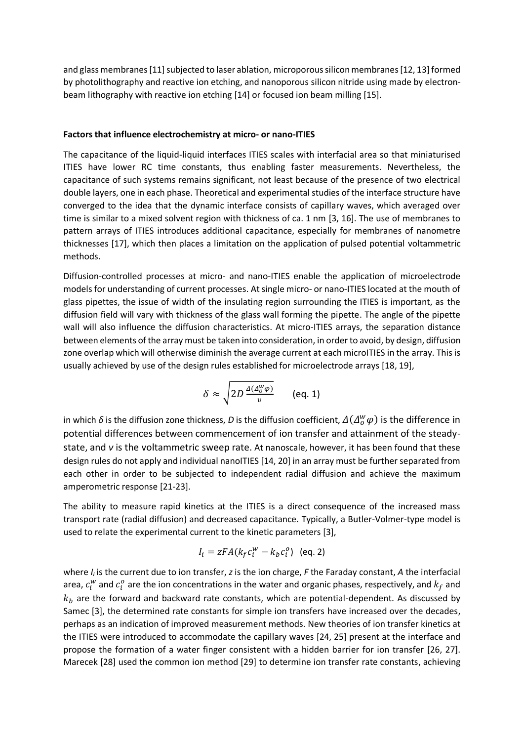and glass membranes [11] subjected to laser ablation, microporous silicon membranes [12, 13] formed by photolithography and reactive ion etching, and nanoporous silicon nitride using made by electronbeam lithography with reactive ion etching [14] or focused ion beam milling [15].

#### **Factors that influence electrochemistry at micro- or nano-ITIES**

The capacitance of the liquid-liquid interfaces ITIES scales with interfacial area so that miniaturised ITIES have lower RC time constants, thus enabling faster measurements. Nevertheless, the capacitance of such systems remains significant, not least because of the presence of two electrical double layers, one in each phase. Theoretical and experimental studies of the interface structure have converged to the idea that the dynamic interface consists of capillary waves, which averaged over time is similar to a mixed solvent region with thickness of ca. 1 nm [3, 16]. The use of membranes to pattern arrays of ITIES introduces additional capacitance, especially for membranes of nanometre thicknesses [17], which then places a limitation on the application of pulsed potential voltammetric methods.

Diffusion-controlled processes at micro- and nano-ITIES enable the application of microelectrode models for understanding of current processes. At single micro- or nano-ITIES located at the mouth of glass pipettes, the issue of width of the insulating region surrounding the ITIES is important, as the diffusion field will vary with thickness of the glass wall forming the pipette. The angle of the pipette wall will also influence the diffusion characteristics. At micro-ITIES arrays, the separation distance between elements of the array must be taken into consideration, in order to avoid, by design, diffusion zone overlap which will otherwise diminish the average current at each microITIES in the array. This is usually achieved by use of the design rules established for microelectrode arrays [18, 19],

$$
\delta \approx \sqrt{2D \frac{\Delta(\Delta_0^W \varphi)}{v}} \qquad \text{(eq. 1)}
$$

in which  $\delta$  is the diffusion zone thickness, D is the diffusion coefficient,  $\varDelta(\varDelta^w_o\varphi)$  is the difference in potential differences between commencement of ion transfer and attainment of the steadystate, and *ν* is the voltammetric sweep rate. At nanoscale, however, it has been found that these design rules do not apply and individual nanoITIES [14, 20] in an array must be further separated from each other in order to be subjected to independent radial diffusion and achieve the maximum amperometric response [21-23].

The ability to measure rapid kinetics at the ITIES is a direct consequence of the increased mass transport rate (radial diffusion) and decreased capacitance. Typically, a Butler-Volmer-type model is used to relate the experimental current to the kinetic parameters [3],

$$
I_i = zFA(k_f c_i^w - k_b c_i^o)
$$
 (eq. 2)

where *I<sup>i</sup>* is the current due to ion transfer, *z* is the ion charge, *F* the Faraday constant, *A* the interfacial area,  $c_i^w$  and  $c_i^o$  are the ion concentrations in the water and organic phases, respectively, and  $k_f$  and  $k_b$  are the forward and backward rate constants, which are potential-dependent. As discussed by Samec [3], the determined rate constants for simple ion transfers have increased over the decades, perhaps as an indication of improved measurement methods. New theories of ion transfer kinetics at the ITIES were introduced to accommodate the capillary waves [24, 25] present at the interface and propose the formation of a water finger consistent with a hidden barrier for ion transfer [26, 27]. Marecek [28] used the common ion method [29] to determine ion transfer rate constants, achieving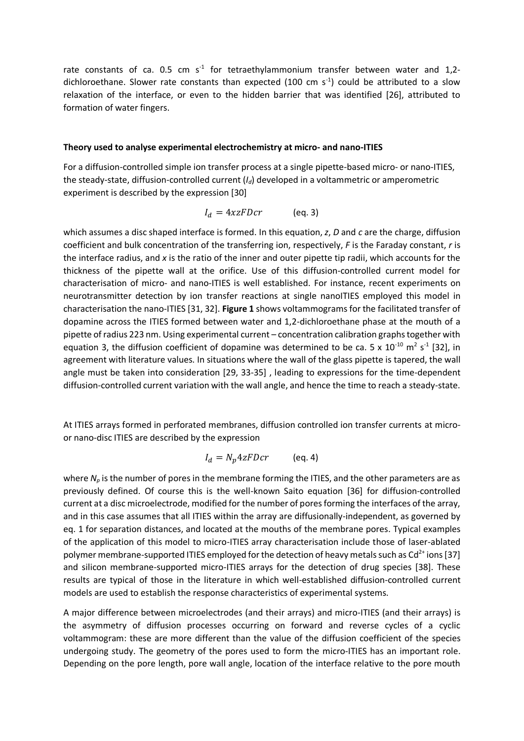rate constants of ca. 0.5 cm  $s^{-1}$  for tetraethylammonium transfer between water and 1,2dichloroethane. Slower rate constants than expected (100 cm  $s^{-1}$ ) could be attributed to a slow relaxation of the interface, or even to the hidden barrier that was identified [26], attributed to formation of water fingers.

#### **Theory used to analyse experimental electrochemistry at micro- and nano-ITIES**

For a diffusion-controlled simple ion transfer process at a single pipette-based micro- or nano-ITIES, the steady-state, diffusion-controlled current (*Id*) developed in a voltammetric or amperometric experiment is described by the expression [30]

#### $I_d = 4xzFDcr$  (eq. 3)

which assumes a disc shaped interface is formed. In this equation, *z*, *D* and *c* are the charge, diffusion coefficient and bulk concentration of the transferring ion, respectively, *F* is the Faraday constant, *r* is the interface radius, and *x* is the ratio of the inner and outer pipette tip radii, which accounts for the thickness of the pipette wall at the orifice. Use of this diffusion-controlled current model for characterisation of micro- and nano-ITIES is well established. For instance, recent experiments on neurotransmitter detection by ion transfer reactions at single nanoITIES employed this model in characterisation the nano-ITIES [31, 32]. **Figure 1** shows voltammograms for the facilitated transfer of dopamine across the ITIES formed between water and 1,2-dichloroethane phase at the mouth of a pipette of radius 223 nm. Using experimental current – concentration calibration graphs together with equation 3, the diffusion coefficient of dopamine was determined to be ca. 5 x  $10^{-10}$  m<sup>2</sup> s<sup>-1</sup> [32], in agreement with literature values. In situations where the wall of the glass pipette is tapered, the wall angle must be taken into consideration [29, 33-35] , leading to expressions for the time-dependent diffusion-controlled current variation with the wall angle, and hence the time to reach a steady-state.

At ITIES arrays formed in perforated membranes, diffusion controlled ion transfer currents at microor nano-disc ITIES are described by the expression

$$
I_d = N_p 4z F Dcr
$$
 (eq. 4)

where  $N_p$  is the number of pores in the membrane forming the ITIES, and the other parameters are as previously defined. Of course this is the well-known Saito equation [36] for diffusion-controlled current at a disc microelectrode, modified for the number of pores forming the interfaces of the array, and in this case assumes that all ITIES within the array are diffusionally-independent, as governed by eq. 1 for separation distances, and located at the mouths of the membrane pores. Typical examples of the application of this model to micro-ITIES array characterisation include those of laser-ablated polymer membrane-supported ITIES employed for the detection of heavy metals such as  $Cd^{2+}$  ions [37] and silicon membrane-supported micro-ITIES arrays for the detection of drug species [38]. These results are typical of those in the literature in which well-established diffusion-controlled current models are used to establish the response characteristics of experimental systems.

A major difference between microelectrodes (and their arrays) and micro-ITIES (and their arrays) is the asymmetry of diffusion processes occurring on forward and reverse cycles of a cyclic voltammogram: these are more different than the value of the diffusion coefficient of the species undergoing study. The geometry of the pores used to form the micro-ITIES has an important role. Depending on the pore length, pore wall angle, location of the interface relative to the pore mouth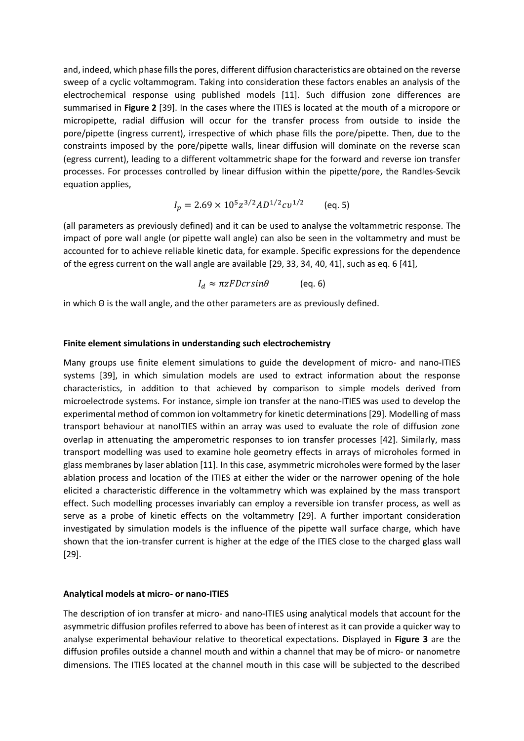and, indeed, which phase fills the pores, different diffusion characteristics are obtained on the reverse sweep of a cyclic voltammogram. Taking into consideration these factors enables an analysis of the electrochemical response using published models [11]. Such diffusion zone differences are summarised in **Figure 2** [39]. In the cases where the ITIES is located at the mouth of a micropore or micropipette, radial diffusion will occur for the transfer process from outside to inside the pore/pipette (ingress current), irrespective of which phase fills the pore/pipette. Then, due to the constraints imposed by the pore/pipette walls, linear diffusion will dominate on the reverse scan (egress current), leading to a different voltammetric shape for the forward and reverse ion transfer processes. For processes controlled by linear diffusion within the pipette/pore, the Randles-Sevcik equation applies,

$$
I_p = 2.69 \times 10^5 z^{3/2} A D^{1/2} c v^{1/2}
$$
 (eq. 5)

(all parameters as previously defined) and it can be used to analyse the voltammetric response. The impact of pore wall angle (or pipette wall angle) can also be seen in the voltammetry and must be accounted for to achieve reliable kinetic data, for example. Specific expressions for the dependence of the egress current on the wall angle are available [29, 33, 34, 40, 41], such as eq. 6 [41],

$$
I_d \approx \pi z FDcrsin\theta \qquad \text{(eq. 6)}
$$

in which Θ is the wall angle, and the other parameters are as previously defined.

#### **Finite element simulations in understanding such electrochemistry**

Many groups use finite element simulations to guide the development of micro- and nano-ITIES systems [39], in which simulation models are used to extract information about the response characteristics, in addition to that achieved by comparison to simple models derived from microelectrode systems. For instance, simple ion transfer at the nano-ITIES was used to develop the experimental method of common ion voltammetry for kinetic determinations [29]. Modelling of mass transport behaviour at nanoITIES within an array was used to evaluate the role of diffusion zone overlap in attenuating the amperometric responses to ion transfer processes [42]. Similarly, mass transport modelling was used to examine hole geometry effects in arrays of microholes formed in glass membranes by laser ablation [11]. In this case, asymmetric microholes were formed by the laser ablation process and location of the ITIES at either the wider or the narrower opening of the hole elicited a characteristic difference in the voltammetry which was explained by the mass transport effect. Such modelling processes invariably can employ a reversible ion transfer process, as well as serve as a probe of kinetic effects on the voltammetry [29]. A further important consideration investigated by simulation models is the influence of the pipette wall surface charge, which have shown that the ion-transfer current is higher at the edge of the ITIES close to the charged glass wall [29].

#### **Analytical models at micro- or nano-ITIES**

The description of ion transfer at micro- and nano-ITIES using analytical models that account for the asymmetric diffusion profiles referred to above has been of interest as it can provide a quicker way to analyse experimental behaviour relative to theoretical expectations. Displayed in **Figure 3** are the diffusion profiles outside a channel mouth and within a channel that may be of micro- or nanometre dimensions. The ITIES located at the channel mouth in this case will be subjected to the described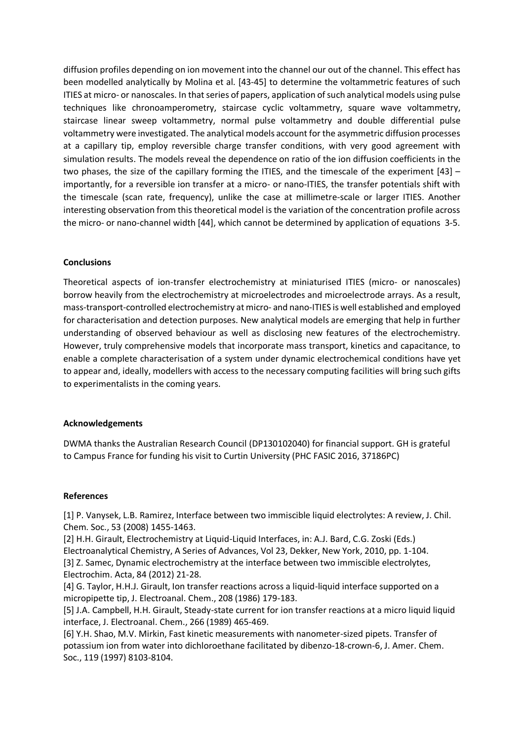diffusion profiles depending on ion movement into the channel our out of the channel. This effect has been modelled analytically by Molina et al. [43-45] to determine the voltammetric features of such ITIES at micro- or nanoscales. In that series of papers, application of such analytical models using pulse techniques like chronoamperometry, staircase cyclic voltammetry, square wave voltammetry, staircase linear sweep voltammetry, normal pulse voltammetry and double differential pulse voltammetry were investigated. The analytical models account for the asymmetric diffusion processes at a capillary tip, employ reversible charge transfer conditions, with very good agreement with simulation results. The models reveal the dependence on ratio of the ion diffusion coefficients in the two phases, the size of the capillary forming the ITIES, and the timescale of the experiment [43] – importantly, for a reversible ion transfer at a micro- or nano-ITIES, the transfer potentials shift with the timescale (scan rate, frequency), unlike the case at millimetre-scale or larger ITIES. Another interesting observation from this theoretical model is the variation of the concentration profile across the micro- or nano-channel width [44], which cannot be determined by application of equations 3-5.

# **Conclusions**

Theoretical aspects of ion-transfer electrochemistry at miniaturised ITIES (micro- or nanoscales) borrow heavily from the electrochemistry at microelectrodes and microelectrode arrays. As a result, mass-transport-controlled electrochemistry at micro- and nano-ITIES is well established and employed for characterisation and detection purposes. New analytical models are emerging that help in further understanding of observed behaviour as well as disclosing new features of the electrochemistry. However, truly comprehensive models that incorporate mass transport, kinetics and capacitance, to enable a complete characterisation of a system under dynamic electrochemical conditions have yet to appear and, ideally, modellers with access to the necessary computing facilities will bring such gifts to experimentalists in the coming years.

# **Acknowledgements**

DWMA thanks the Australian Research Council (DP130102040) for financial support. GH is grateful to Campus France for funding his visit to Curtin University (PHC FASIC 2016, 37186PC)

# **References**

[1] P. Vanysek, L.B. Ramirez, Interface between two immiscible liquid electrolytes: A review, J. Chil. Chem. Soc., 53 (2008) 1455-1463.

[2] H.H. Girault, Electrochemistry at Liquid-Liquid Interfaces, in: A.J. Bard, C.G. Zoski (Eds.) Electroanalytical Chemistry, A Series of Advances, Vol 23, Dekker, New York, 2010, pp. 1-104. [3] Z. Samec, Dynamic electrochemistry at the interface between two immiscible electrolytes, Electrochim. Acta, 84 (2012) 21-28.

[4] G. Taylor, H.H.J. Girault, Ion transfer reactions across a liquid-liquid interface supported on a micropipette tip, J. Electroanal. Chem., 208 (1986) 179-183.

[5] J.A. Campbell, H.H. Girault, Steady-state current for ion transfer reactions at a micro liquid liquid interface, J. Electroanal. Chem., 266 (1989) 465-469.

[6] Y.H. Shao, M.V. Mirkin, Fast kinetic measurements with nanometer-sized pipets. Transfer of potassium ion from water into dichloroethane facilitated by dibenzo-18-crown-6, J. Amer. Chem. Soc., 119 (1997) 8103-8104.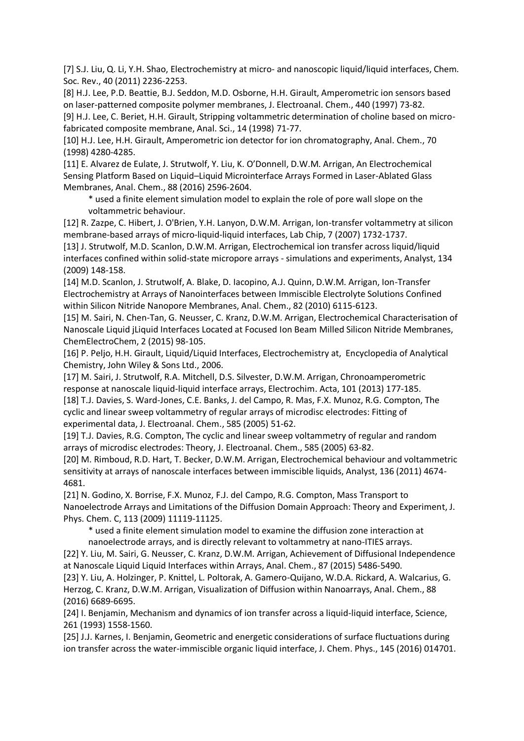[7] S.J. Liu, Q. Li, Y.H. Shao, Electrochemistry at micro- and nanoscopic liquid/liquid interfaces, Chem. Soc. Rev., 40 (2011) 2236-2253.

[8] H.J. Lee, P.D. Beattie, B.J. Seddon, M.D. Osborne, H.H. Girault, Amperometric ion sensors based on laser-patterned composite polymer membranes, J. Electroanal. Chem., 440 (1997) 73-82.

[9] H.J. Lee, C. Beriet, H.H. Girault, Stripping voltammetric determination of choline based on microfabricated composite membrane, Anal. Sci., 14 (1998) 71-77.

[10] H.J. Lee, H.H. Girault, Amperometric ion detector for ion chromatography, Anal. Chem., 70 (1998) 4280-4285.

[11] E. Alvarez de Eulate, J. Strutwolf, Y. Liu, K. O'Donnell, D.W.M. Arrigan, An Electrochemical Sensing Platform Based on Liquid–Liquid Microinterface Arrays Formed in Laser-Ablated Glass Membranes, Anal. Chem., 88 (2016) 2596-2604.

\* used a finite element simulation model to explain the role of pore wall slope on the voltammetric behaviour.

[12] R. Zazpe, C. Hibert, J. O'Brien, Y.H. Lanyon, D.W.M. Arrigan, Ion-transfer voltammetry at silicon membrane-based arrays of micro-liquid-liquid interfaces, Lab Chip, 7 (2007) 1732-1737.

[13] J. Strutwolf, M.D. Scanlon, D.W.M. Arrigan, Electrochemical ion transfer across liquid/liquid interfaces confined within solid-state micropore arrays - simulations and experiments, Analyst, 134 (2009) 148-158.

[14] M.D. Scanlon, J. Strutwolf, A. Blake, D. Iacopino, A.J. Quinn, D.W.M. Arrigan, Ion-Transfer Electrochemistry at Arrays of Nanointerfaces between Immiscible Electrolyte Solutions Confined within Silicon Nitride Nanopore Membranes, Anal. Chem., 82 (2010) 6115-6123.

[15] M. Sairi, N. Chen-Tan, G. Neusser, C. Kranz, D.W.M. Arrigan, Electrochemical Characterisation of Nanoscale Liquid jLiquid Interfaces Located at Focused Ion Beam Milled Silicon Nitride Membranes, ChemElectroChem, 2 (2015) 98-105.

[16] P. Peljo, H.H. Girault, Liquid/Liquid Interfaces, Electrochemistry at, Encyclopedia of Analytical Chemistry, John Wiley & Sons Ltd., 2006.

[17] M. Sairi, J. Strutwolf, R.A. Mitchell, D.S. Silvester, D.W.M. Arrigan, Chronoamperometric response at nanoscale liquid-liquid interface arrays, Electrochim. Acta, 101 (2013) 177-185. [18] T.J. Davies, S. Ward-Jones, C.E. Banks, J. del Campo, R. Mas, F.X. Munoz, R.G. Compton, The cyclic and linear sweep voltammetry of regular arrays of microdisc electrodes: Fitting of experimental data, J. Electroanal. Chem., 585 (2005) 51-62.

[19] T.J. Davies, R.G. Compton, The cyclic and linear sweep voltammetry of regular and random arrays of microdisc electrodes: Theory, J. Electroanal. Chem., 585 (2005) 63-82.

[20] M. Rimboud, R.D. Hart, T. Becker, D.W.M. Arrigan, Electrochemical behaviour and voltammetric sensitivity at arrays of nanoscale interfaces between immiscible liquids, Analyst, 136 (2011) 4674- 4681.

[21] N. Godino, X. Borrise, F.X. Munoz, F.J. del Campo, R.G. Compton, Mass Transport to Nanoelectrode Arrays and Limitations of the Diffusion Domain Approach: Theory and Experiment, J. Phys. Chem. C, 113 (2009) 11119-11125.

\* used a finite element simulation model to examine the diffusion zone interaction at nanoelectrode arrays, and is directly relevant to voltammetry at nano-ITIES arrays.

[22] Y. Liu, M. Sairi, G. Neusser, C. Kranz, D.W.M. Arrigan, Achievement of Diffusional Independence at Nanoscale Liquid Liquid Interfaces within Arrays, Anal. Chem., 87 (2015) 5486-5490.

[23] Y. Liu, A. Holzinger, P. Knittel, L. Poltorak, A. Gamero-Quijano, W.D.A. Rickard, A. Walcarius, G. Herzog, C. Kranz, D.W.M. Arrigan, Visualization of Diffusion within Nanoarrays, Anal. Chem., 88 (2016) 6689-6695.

[24] I. Benjamin, Mechanism and dynamics of ion transfer across a liquid-liquid interface, Science, 261 (1993) 1558-1560.

[25] J.J. Karnes, I. Benjamin, Geometric and energetic considerations of surface fluctuations during ion transfer across the water-immiscible organic liquid interface, J. Chem. Phys., 145 (2016) 014701.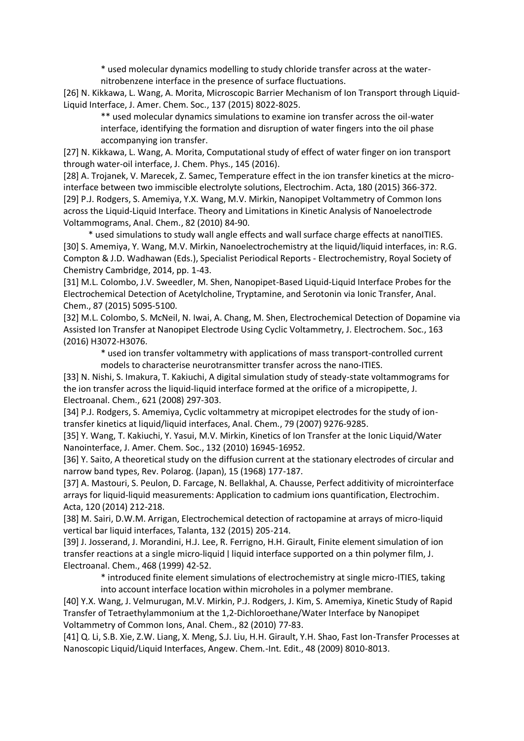\* used molecular dynamics modelling to study chloride transfer across at the waternitrobenzene interface in the presence of surface fluctuations.

[26] N. Kikkawa, L. Wang, A. Morita, Microscopic Barrier Mechanism of Ion Transport through Liquid-Liquid Interface, J. Amer. Chem. Soc., 137 (2015) 8022-8025.

\*\* used molecular dynamics simulations to examine ion transfer across the oil-water interface, identifying the formation and disruption of water fingers into the oil phase accompanying ion transfer.

[27] N. Kikkawa, L. Wang, A. Morita, Computational study of effect of water finger on ion transport through water-oil interface, J. Chem. Phys., 145 (2016).

[28] A. Trojanek, V. Marecek, Z. Samec, Temperature effect in the ion transfer kinetics at the microinterface between two immiscible electrolyte solutions, Electrochim. Acta, 180 (2015) 366-372. [29] P.J. Rodgers, S. Amemiya, Y.X. Wang, M.V. Mirkin, Nanopipet Voltammetry of Common Ions across the Liquid-Liquid Interface. Theory and Limitations in Kinetic Analysis of Nanoelectrode Voltammograms, Anal. Chem., 82 (2010) 84-90.

\* used simulations to study wall angle effects and wall surface charge effects at nanoITIES. [30] S. Amemiya, Y. Wang, M.V. Mirkin, Nanoelectrochemistry at the liquid/liquid interfaces, in: R.G. Compton & J.D. Wadhawan (Eds.), Specialist Periodical Reports - Electrochemistry, Royal Society of Chemistry Cambridge, 2014, pp. 1-43.

[31] M.L. Colombo, J.V. Sweedler, M. Shen, Nanopipet-Based Liquid-Liquid Interface Probes for the Electrochemical Detection of Acetylcholine, Tryptamine, and Serotonin via Ionic Transfer, Anal. Chem., 87 (2015) 5095-5100.

[32] M.L. Colombo, S. McNeil, N. Iwai, A. Chang, M. Shen, Electrochemical Detection of Dopamine via Assisted Ion Transfer at Nanopipet Electrode Using Cyclic Voltammetry, J. Electrochem. Soc., 163 (2016) H3072-H3076.

\* used ion transfer voltammetry with applications of mass transport-controlled current models to characterise neurotransmitter transfer across the nano-ITIES.

[33] N. Nishi, S. Imakura, T. Kakiuchi, A digital simulation study of steady-state voltammograms for the ion transfer across the liquid-liquid interface formed at the orifice of a micropipette, J. Electroanal. Chem., 621 (2008) 297-303.

[34] P.J. Rodgers, S. Amemiya, Cyclic voltammetry at micropipet electrodes for the study of iontransfer kinetics at liquid/liquid interfaces, Anal. Chem., 79 (2007) 9276-9285.

[35] Y. Wang, T. Kakiuchi, Y. Yasui, M.V. Mirkin, Kinetics of Ion Transfer at the Ionic Liquid/Water Nanointerface, J. Amer. Chem. Soc., 132 (2010) 16945-16952.

[36] Y. Saito, A theoretical study on the diffusion current at the stationary electrodes of circular and narrow band types, Rev. Polarog. (Japan), 15 (1968) 177-187.

[37] A. Mastouri, S. Peulon, D. Farcage, N. Bellakhal, A. Chausse, Perfect additivity of microinterface arrays for liquid-liquid measurements: Application to cadmium ions quantification, Electrochim. Acta, 120 (2014) 212-218.

[38] M. Sairi, D.W.M. Arrigan, Electrochemical detection of ractopamine at arrays of micro-liquid vertical bar liquid interfaces, Talanta, 132 (2015) 205-214.

[39] J. Josserand, J. Morandini, H.J. Lee, R. Ferrigno, H.H. Girault, Finite element simulation of ion transfer reactions at a single micro-liquid | liquid interface supported on a thin polymer film, J. Electroanal. Chem., 468 (1999) 42-52.

\* introduced finite element simulations of electrochemistry at single micro-ITIES, taking into account interface location within microholes in a polymer membrane.

[40] Y.X. Wang, J. Velmurugan, M.V. Mirkin, P.J. Rodgers, J. Kim, S. Amemiya, Kinetic Study of Rapid Transfer of Tetraethylammonium at the 1,2-Dichloroethane/Water Interface by Nanopipet Voltammetry of Common Ions, Anal. Chem., 82 (2010) 77-83.

[41] Q. Li, S.B. Xie, Z.W. Liang, X. Meng, S.J. Liu, H.H. Girault, Y.H. Shao, Fast Ion-Transfer Processes at Nanoscopic Liquid/Liquid Interfaces, Angew. Chem.-Int. Edit., 48 (2009) 8010-8013.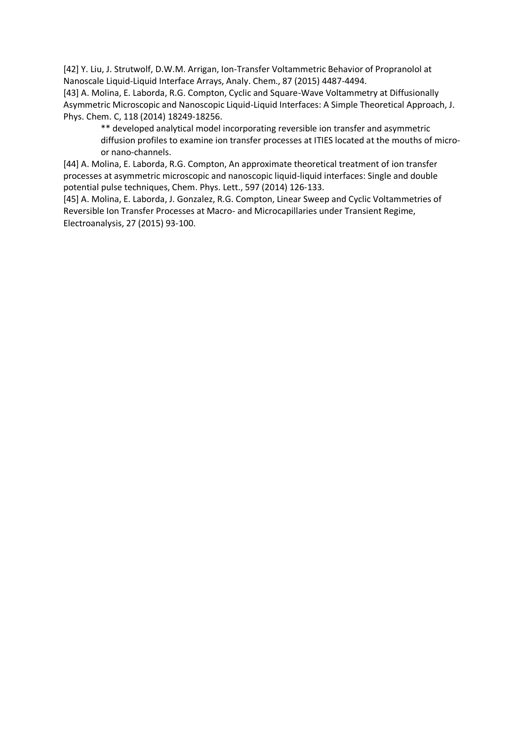[42] Y. Liu, J. Strutwolf, D.W.M. Arrigan, Ion-Transfer Voltammetric Behavior of Propranolol at Nanoscale Liquid-Liquid Interface Arrays, Analy. Chem., 87 (2015) 4487-4494.

[43] A. Molina, E. Laborda, R.G. Compton, Cyclic and Square-Wave Voltammetry at Diffusionally Asymmetric Microscopic and Nanoscopic Liquid-Liquid Interfaces: A Simple Theoretical Approach, J. Phys. Chem. C, 118 (2014) 18249-18256.

\*\* developed analytical model incorporating reversible ion transfer and asymmetric diffusion profiles to examine ion transfer processes at ITIES located at the mouths of microor nano-channels.

[44] A. Molina, E. Laborda, R.G. Compton, An approximate theoretical treatment of ion transfer processes at asymmetric microscopic and nanoscopic liquid-liquid interfaces: Single and double potential pulse techniques, Chem. Phys. Lett., 597 (2014) 126-133.

[45] A. Molina, E. Laborda, J. Gonzalez, R.G. Compton, Linear Sweep and Cyclic Voltammetries of Reversible Ion Transfer Processes at Macro- and Microcapillaries under Transient Regime, Electroanalysis, 27 (2015) 93-100.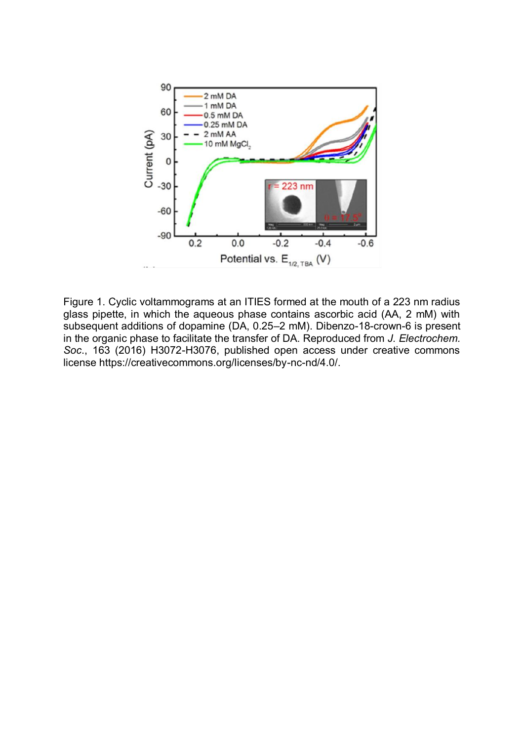

Figure 1. Cyclic voltammograms at an ITIES formed at the mouth of a 223 nm radius glass pipette, in which the aqueous phase contains ascorbic acid (AA, 2 mM) with subsequent additions of dopamine (DA, 0.25–2 mM). Dibenzo-18-crown-6 is present in the organic phase to facilitate the transfer of DA. Reproduced from *J. Electrochem. Soc*., 163 (2016) H3072-H3076, published open access under creative commons license https://creativecommons.org/licenses/by-nc-nd/4.0/.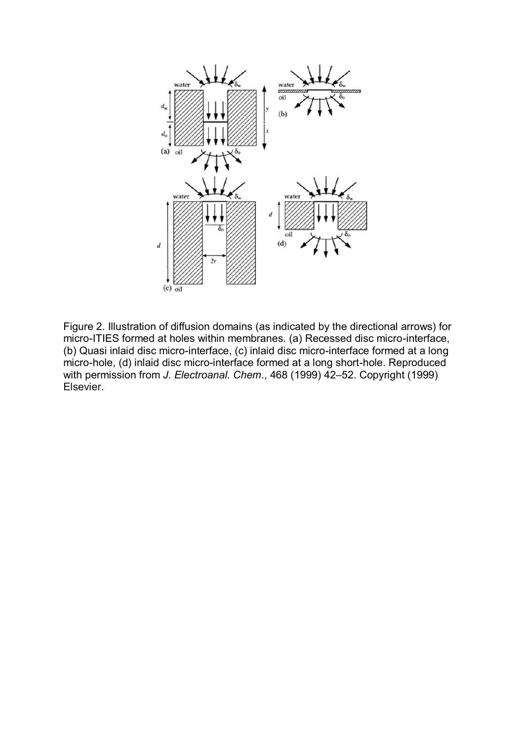

Figure 2. Illustration of diffusion domains (as indicated by the directional arrows) for micro-ITIES formed at holes within membranes. (a) Recessed disc micro-interface, (b) Quasi inlaid disc micro-interface, (c) inlaid disc micro-interface formed at a long micro-hole, (d) inlaid disc micro-interface formed at a long short-hole. Reproduced with permission from *J. Electroanal. Chem*., 468 (1999) 42–52. Copyright (1999) Elsevier.